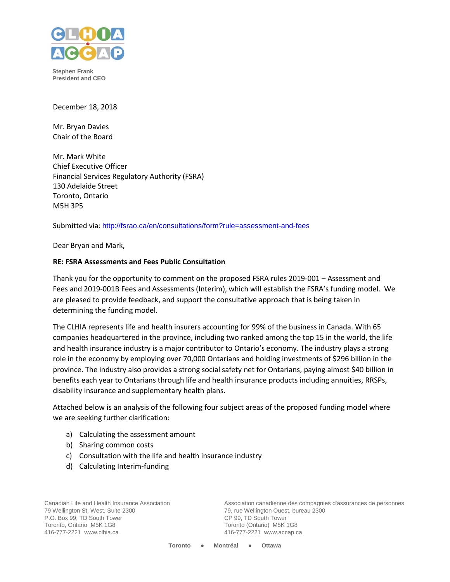

**Stephen Frank President and CEO**

December 18, 2018

Mr. Bryan Davies Chair of the Board

Mr. Mark White Chief Executive Officer Financial Services Regulatory Authority (FSRA) 130 Adelaide Street Toronto, Ontario M5H 3P5

Submitted via: <http://fsrao.ca/en/consultations/form?rule=assessment-and-fees>

Dear Bryan and Mark,

#### **RE: FSRA Assessments and Fees Public Consultation**

Thank you for the opportunity to comment on the proposed FSRA rules 2019-001 – Assessment and Fees and 2019-001B Fees and Assessments (Interim), which will establish the FSRA's funding model. We are pleased to provide feedback, and support the consultative approach that is being taken in determining the funding model.

The CLHIA represents life and health insurers accounting for 99% of the business in Canada. With 65 companies headquartered in the province, including two ranked among the top 15 in the world, the life and health insurance industry is a major contributor to Ontario's economy. The industry plays a strong role in the economy by employing over 70,000 Ontarians and holding investments of \$296 billion in the province. The industry also provides a strong social safety net for Ontarians, paying almost \$40 billion in benefits each year to Ontarians through life and health insurance products including annuities, RRSPs, disability insurance and supplementary health plans.

Attached below is an analysis of the following four subject areas of the proposed funding model where we are seeking further clarification:

- a) Calculating the assessment amount
- b) Sharing common costs
- c) Consultation with the life and health insurance industry
- d) Calculating Interim-funding

Canadian Life and Health Insurance Association 79 Wellington St. West, Suite 2300 P.O. Box 99, TD South Tower Toronto, Ontario M5K 1G8 416-777-2221 www.clhia.ca

Association canadienne des compagnies d'assurances de personnes 79, rue Wellington Ouest, bureau 2300 CP 99, TD South Tower Toronto (Ontario) M5K 1G8 416-777-2221 www.accap.ca

**Toronto ● Montréal ● Ottawa**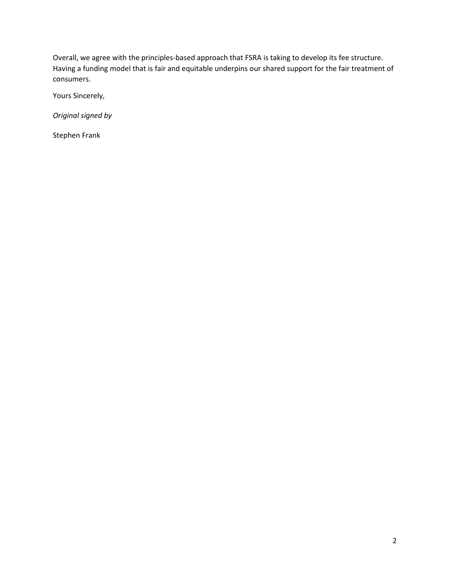Overall, we agree with the principles-based approach that FSRA is taking to develop its fee structure. Having a funding model that is fair and equitable underpins our shared support for the fair treatment of consumers.

Yours Sincerely,

*Original signed by*

Stephen Frank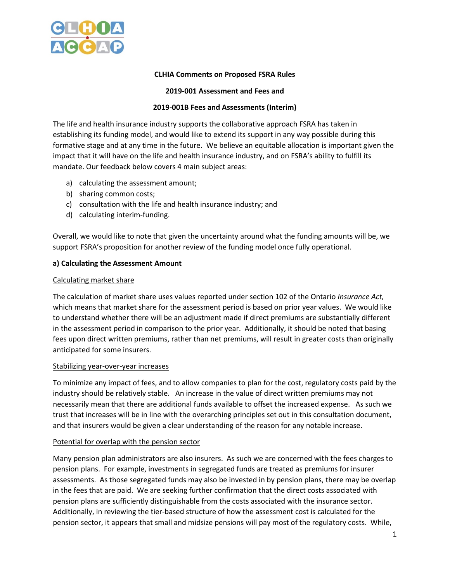

### **CLHIA Comments on Proposed FSRA Rules**

### **2019-001 Assessment and Fees and**

### **2019-001B Fees and Assessments (Interim)**

The life and health insurance industry supports the collaborative approach FSRA has taken in establishing its funding model, and would like to extend its support in any way possible during this formative stage and at any time in the future. We believe an equitable allocation is important given the impact that it will have on the life and health insurance industry, and on FSRA's ability to fulfill its mandate. Our feedback below covers 4 main subject areas:

- a) calculating the assessment amount;
- b) sharing common costs;
- c) consultation with the life and health insurance industry; and
- d) calculating interim-funding.

Overall, we would like to note that given the uncertainty around what the funding amounts will be, we support FSRA's proposition for another review of the funding model once fully operational.

#### **a) Calculating the Assessment Amount**

#### Calculating market share

The calculation of market share uses values reported under section 102 of the Ontario *Insurance Act,*  which means that market share for the assessment period is based on prior year values. We would like to understand whether there will be an adjustment made if direct premiums are substantially different in the assessment period in comparison to the prior year. Additionally, it should be noted that basing fees upon direct written premiums, rather than net premiums, will result in greater costs than originally anticipated for some insurers.

#### Stabilizing year-over-year increases

To minimize any impact of fees, and to allow companies to plan for the cost, regulatory costs paid by the industry should be relatively stable. An increase in the value of direct written premiums may not necessarily mean that there are additional funds available to offset the increased expense. As such we trust that increases will be in line with the overarching principles set out in this consultation document, and that insurers would be given a clear understanding of the reason for any notable increase.

#### Potential for overlap with the pension sector

Many pension plan administrators are also insurers. As such we are concerned with the fees charges to pension plans. For example, investments in segregated funds are treated as premiums for insurer assessments. As those segregated funds may also be invested in by pension plans, there may be overlap in the fees that are paid. We are seeking further confirmation that the direct costs associated with pension plans are sufficiently distinguishable from the costs associated with the insurance sector. Additionally, in reviewing the tier-based structure of how the assessment cost is calculated for the pension sector, it appears that small and midsize pensions will pay most of the regulatory costs. While,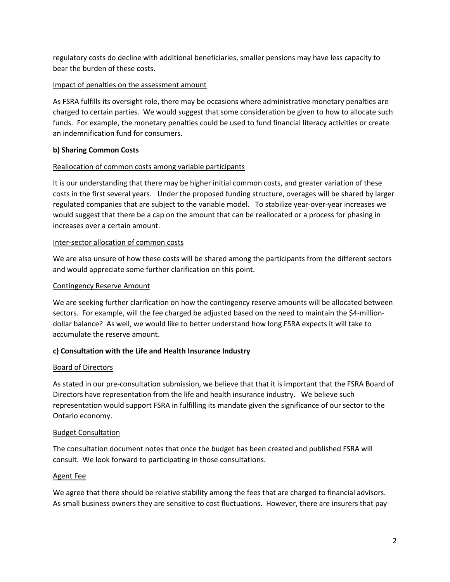regulatory costs do decline with additional beneficiaries, smaller pensions may have less capacity to bear the burden of these costs.

### Impact of penalties on the assessment amount

As FSRA fulfills its oversight role, there may be occasions where administrative monetary penalties are charged to certain parties. We would suggest that some consideration be given to how to allocate such funds. For example, the monetary penalties could be used to fund financial literacy activities or create an indemnification fund for consumers.

### **b) Sharing Common Costs**

### Reallocation of common costs among variable participants

It is our understanding that there may be higher initial common costs, and greater variation of these costs in the first several years. Under the proposed funding structure, overages will be shared by larger regulated companies that are subject to the variable model. To stabilize year-over-year increases we would suggest that there be a cap on the amount that can be reallocated or a process for phasing in increases over a certain amount.

### Inter-sector allocation of common costs

We are also unsure of how these costs will be shared among the participants from the different sectors and would appreciate some further clarification on this point.

### Contingency Reserve Amount

We are seeking further clarification on how the contingency reserve amounts will be allocated between sectors. For example, will the fee charged be adjusted based on the need to maintain the \$4-milliondollar balance? As well, we would like to better understand how long FSRA expects it will take to accumulate the reserve amount.

## **c) Consultation with the Life and Health Insurance Industry**

#### Board of Directors

As stated in our pre-consultation submission, we believe that that it is important that the FSRA Board of Directors have representation from the life and health insurance industry. We believe such representation would support FSRA in fulfilling its mandate given the significance of our sector to the Ontario economy.

#### Budget Consultation

The consultation document notes that once the budget has been created and published FSRA will consult. We look forward to participating in those consultations.

#### Agent Fee

We agree that there should be relative stability among the fees that are charged to financial advisors. As small business owners they are sensitive to cost fluctuations. However, there are insurers that pay